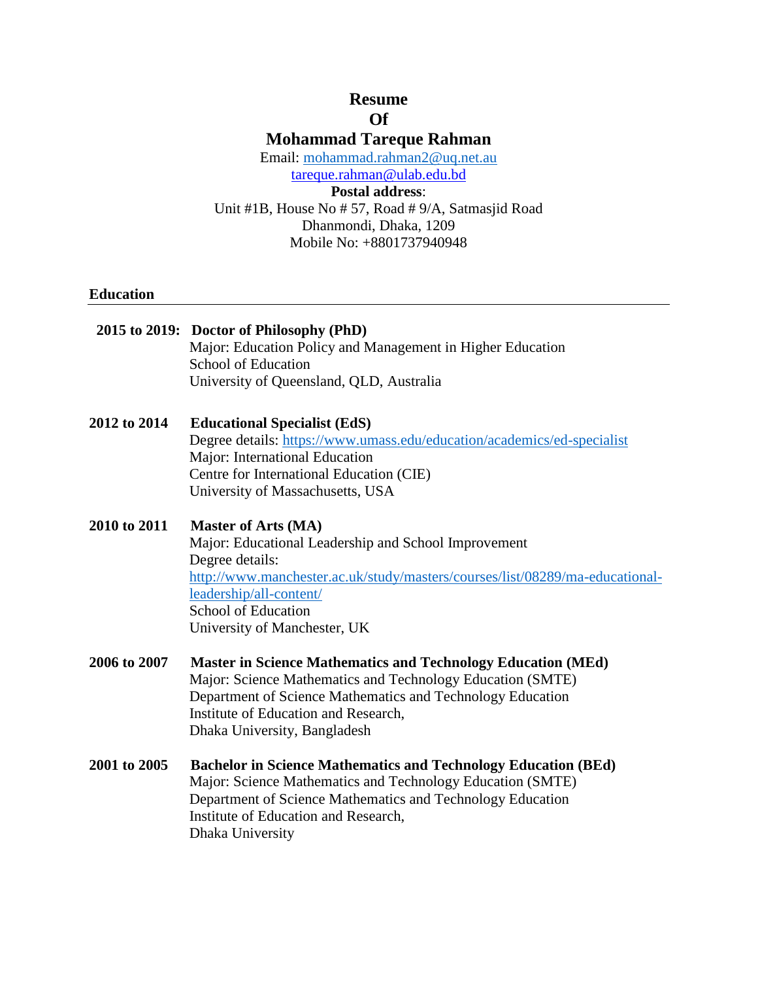# **Resume Of**

**Mohammad Tareque Rahman**

Email: mohammad.rahman2@uq.net.au

tareque.rahman@ulab.edu.bd

**Postal address**: Unit #1B, House No # 57, Road # 9/A, Satmasjid Road Dhanmondi, Dhaka, 1209 Mobile No: +8801737940948

## **Education**

|              | 2015 to 2019: Doctor of Philosophy (PhD)<br>Major: Education Policy and Management in Higher Education<br>School of Education<br>University of Queensland, QLD, Australia                                                                                                      |
|--------------|--------------------------------------------------------------------------------------------------------------------------------------------------------------------------------------------------------------------------------------------------------------------------------|
| 2012 to 2014 | <b>Educational Specialist (EdS)</b><br>Degree details: https://www.umass.edu/education/academics/ed-specialist<br>Major: International Education<br>Centre for International Education (CIE)<br>University of Massachusetts, USA                                               |
| 2010 to 2011 | <b>Master of Arts (MA)</b><br>Major: Educational Leadership and School Improvement<br>Degree details:<br>http://www.manchester.ac.uk/study/masters/courses/list/08289/ma-educational-<br>leadership/all-content/<br><b>School of Education</b><br>University of Manchester, UK |
| 2006 to 2007 | <b>Master in Science Mathematics and Technology Education (MEd)</b><br>Major: Science Mathematics and Technology Education (SMTE)<br>Department of Science Mathematics and Technology Education<br>Institute of Education and Research,<br>Dhaka University, Bangladesh        |
| 2001 to 2005 | <b>Bachelor in Science Mathematics and Technology Education (BEd)</b><br>Major: Science Mathematics and Technology Education (SMTE)<br>Department of Science Mathematics and Technology Education<br>Institute of Education and Research,<br>Dhaka University                  |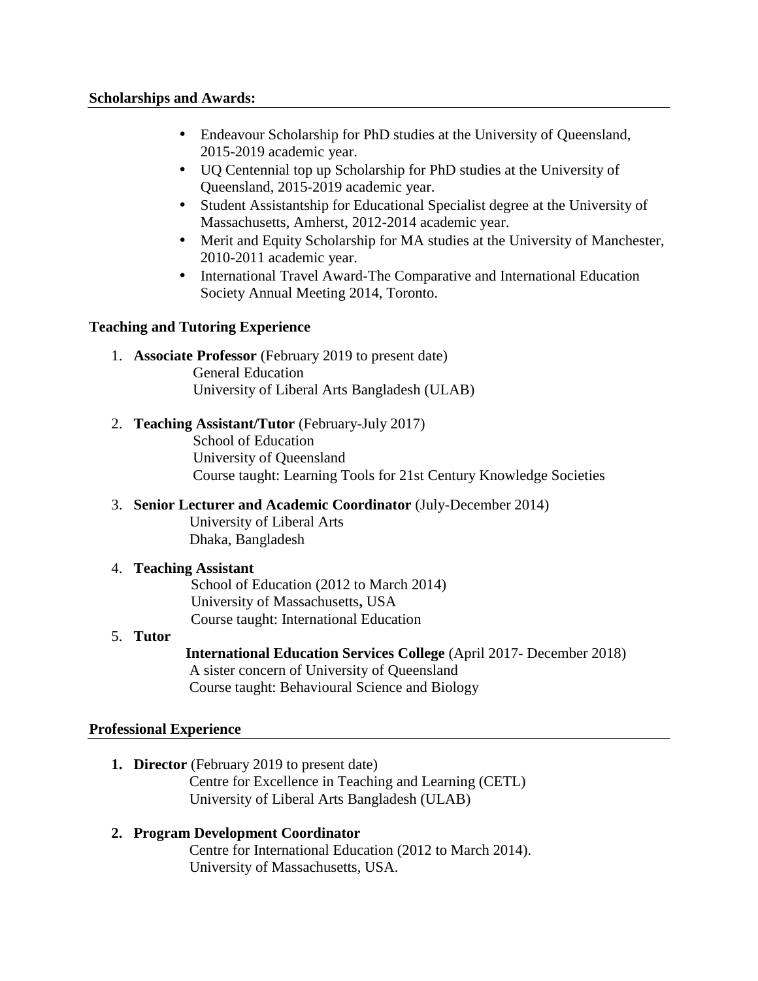- Endeavour Scholarship for PhD studies at the University of Queensland, 2015-2019 academic year.
- UQ Centennial top up Scholarship for PhD studies at the University of Queensland, 2015-2019 academic year.
- Student Assistantship for Educational Specialist degree at the University of Massachusetts, Amherst, 2012-2014 academic year.
- Merit and Equity Scholarship for MA studies at the University of Manchester, 2010-2011 academic year.
- International Travel Award-The Comparative and International Education Society Annual Meeting 2014, Toronto.

## **Teaching and Tutoring Experience**

1. **Associate Professor** (February 2019 to present date)

General Education

University of Liberal Arts Bangladesh (ULAB)

- 2. **Teaching Assistant/Tutor** (February-July 2017) School of Education University of Queensland Course taught: Learning Tools for 21st Century Knowledge Societies
- 3. **Senior Lecturer and Academic Coordinator** (July-December 2014) University of Liberal Arts Dhaka, Bangladesh

# 4. **Teaching Assistant**

School of Education (2012 to March 2014) University of Massachusetts**,** USA Course taught: International Education

# 5. **Tutor**

**International Education Services College** (April 2017- December 2018) A sister concern of University of Queensland Course taught: Behavioural Science and Biology

# **Professional Experience**

**1. Director** (February 2019 to present date)

Centre for Excellence in Teaching and Learning (CETL) University of Liberal Arts Bangladesh (ULAB)

# **2. Program Development Coordinator**

Centre for International Education (2012 to March 2014). University of Massachusetts, USA.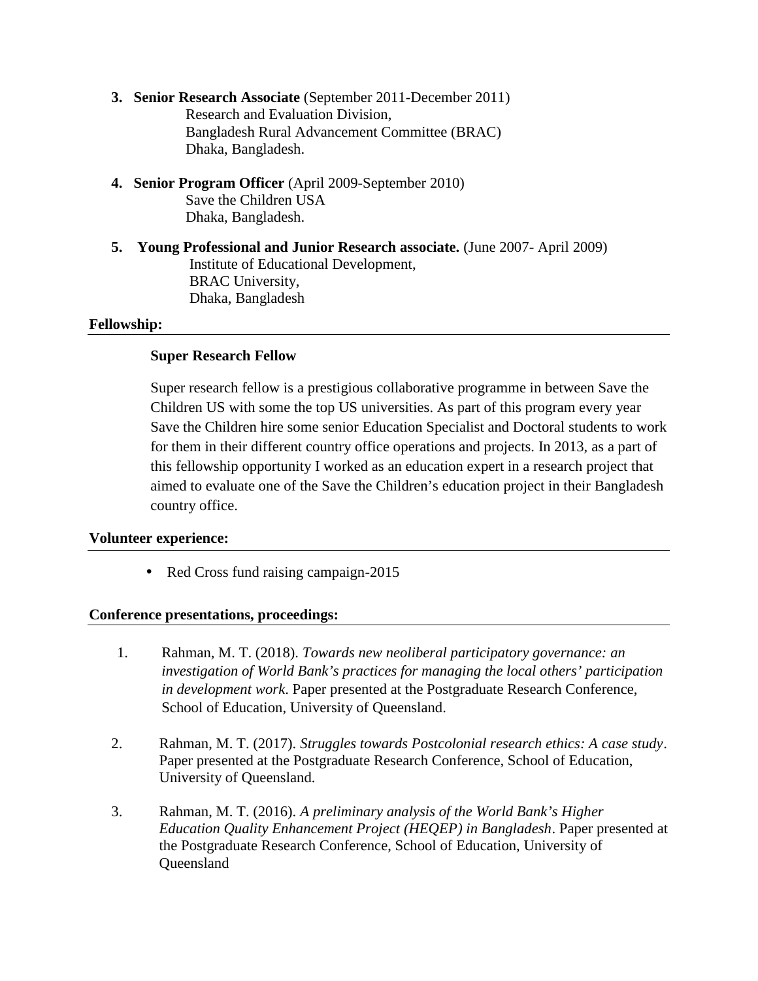- **3. Senior Research Associate** (September 2011-December 2011) Research and Evaluation Division, Bangladesh Rural Advancement Committee (BRAC) Dhaka, Bangladesh.
- **4. Senior Program Officer** (April 2009-September 2010) Save the Children USA Dhaka, Bangladesh.
- **5. Young Professional and Junior Research associate.** (June 2007- April 2009) Institute of Educational Development, BRAC University, Dhaka, Bangladesh

#### **Fellowship:**

### **Super Research Fellow**

Super research fellow is a prestigious collaborative programme in between Save the Children US with some the top US universities. As part of this program every year Save the Children hire some senior Education Specialist and Doctoral students to work for them in their different country office operations and projects. In 2013, as a part of this fellowship opportunity I worked as an education expert in a research project that aimed to evaluate one of the Save the Children's education project in their Bangladesh country office.

### **Volunteer experience:**

• Red Cross fund raising campaign-2015

### **Conference presentations, proceedings:**

- 1. Rahman, M. T. (2018). *Towards new neoliberal participatory governance: an investigation of World Bank's practices for managing the local others' participation in development work*. Paper presented at the Postgraduate Research Conference, School of Education, University of Queensland.
- 2. Rahman, M. T. (2017). *Struggles towards Postcolonial research ethics: A case study*. Paper presented at the Postgraduate Research Conference, School of Education, University of Queensland*.*
- 3. Rahman, M. T. (2016). *A preliminary analysis of the World Bank's Higher Education Quality Enhancement Project (HEQEP) in Bangladesh*. Paper presented at the Postgraduate Research Conference, School of Education, University of **Queensland**